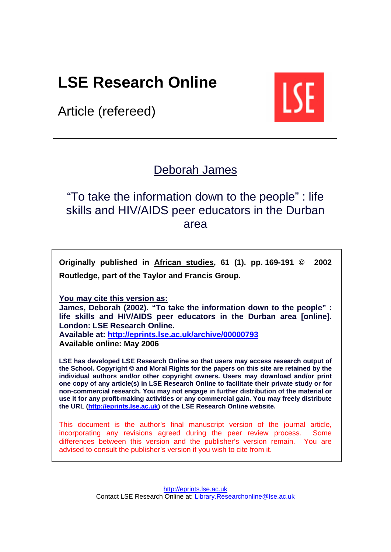# **LSE Research Online**

Article (refereed)



# [Deborah James](http://www.lse.ac.uk/people/d.a.james@lse.ac.uk/experts.htm)

"To take the information down to the people" : life skills and HIV/AIDS peer educators in the Durban area

**Originally published in [African studies,](http://www.tandf.co.uk/journals/titles/00020184.asp) 61 (1). pp. 169-191 © 2002 Routledge, part of the Taylor and Francis Group.** 

**You may cite this version as:** 

**James, Deborah (2002). "To take the information down to the people" : life skills and HIV/AIDS peer educators in the Durban area [online]. London: LSE Research Online. Available at: <http://eprints.lse.ac.uk/archive/00000793>** 

**Available online: May 2006**

**LSE has developed LSE Research Online so that users may access research output of the School. Copyright © and Moral Rights for the papers on this site are retained by the individual authors and/or other copyright owners. Users may download and/or print one copy of any article(s) in LSE Research Online to facilitate their private study or for non-commercial research. You may not engage in further distribution of the material or use it for any profit-making activities or any commercial gain. You may freely distribute the URL [\(http://eprints.lse.ac.uk\)](http://eprints.lse.ac.uk/) of the LSE Research Online website.** 

This document is the author's final manuscript version of the journal article, incorporating any revisions agreed during the peer review process. Some differences between this version and the publisher's version remain. You are advised to consult the publisher's version if you wish to cite from it.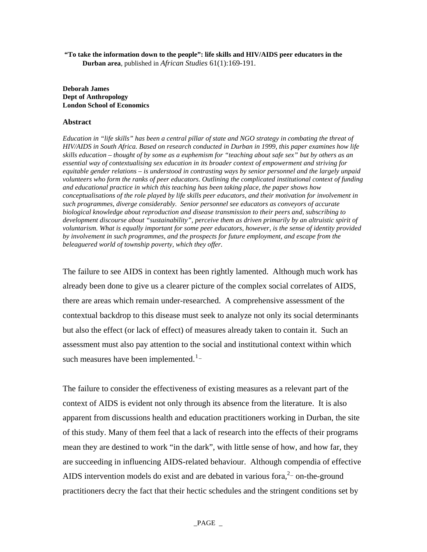**"To take the information down to the people": life skills and HIV/AIDS peer educators in the Durban area**, published in *African Studies* 61(1):169-191.

**Deborah James Dept of Anthropology London School of Economics** 

#### **Abstract**

*Education in "life skills" has been a central pillar of state and NGO strategy in combating the threat of HIV/AIDS in South Africa. Based on research conducted in Durban in 1999, this paper examines how life skills education – thought of by some as a euphemism for "teaching about safe sex" but by others as an essential way of contextualising sex education in its broader context of empowerment and striving for equitable gender relations – is understood in contrasting ways by senior personnel and the largely unpaid volunteers who form the ranks of peer educators. Outlining the complicated institutional context of funding and educational practice in which this teaching has been taking place, the paper shows how conceptualisations of the role played by life skills peer educators, and their motivation for involvement in such programmes, diverge considerably. Senior personnel see educators as conveyors of accurate biological knowledge about reproduction and disease transmission to their peers and, subscribing to development discourse about "sustainability", perceive them as driven primarily by an altruistic spirit of voluntarism. What is equally important for some peer educators, however, is the sense of identity provided by involvement in such programmes, and the prospects for future employment, and escape from the beleaguered world of township poverty, which they offer.*

The failure to see AIDS in context has been rightly lamented. Although much work has already been done to give us a clearer picture of the complex social correlates of AIDS, there are areas which remain under-researched. A comprehensive assessment of the contextual backdrop to this disease must seek to analyze not only its social determinants but also the effect (or lack of effect) of measures already taken to contain it. Such an assessment must also pay attention to the social and institutional context within which such measures have been implemented.<sup>[1](#page-30-0)–1</sup>

The failure to consider the effectiveness of existing measures as a relevant part of the context of AIDS is evident not only through its absence from the literature. It is also apparent from discussions health and education practitioners working in Durban, the site of this study. Many of them feel that a lack of research into the effects of their programs mean they are destined to work "in the dark", with little sense of how, and how far, they are succeeding in influencing AIDS-related behaviour. Although compendia of effective AIDS intervention models do exist and are debated in various for  $a<sup>2</sup>$  on-the-ground practitioners decry the fact that their hectic schedules and the stringent conditions set by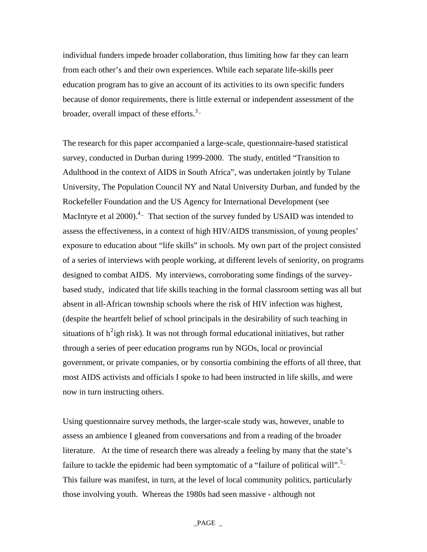individual funders impede broader collaboration, thus limiting how far they can learn from each other's and their own experiences. While each separate life-skills peer education program has to give an account of its activities to its own specific funders because of donor requirements, there is little external or independent assessment of the broader, overall impact of these efforts.<sup>3</sup>-

The research for this paper accompanied a large-scale, questionnaire-based statistical survey, conducted in Durban during 1999-2000. The study, entitled "Transition to Adulthood in the context of AIDS in South Africa", was undertaken jointly by Tulane University, The Population Council NY and Natal University Durban, and funded by the Rockefeller Foundation and the US Agency for International Development (see MacIntyre et al 2000). $4$ - That section of the survey funded by USAID was intended to assess the effectiveness, in a context of high HIV/AIDS transmission, of young peoples' exposure to education about "life skills" in schools. My own part of the project consisted of a series of interviews with people working, at different levels of seniority, on programs designed to combat AIDS. My interviews, corroborating some findings of the surveybased study, indicated that life skills teaching in the formal classroom setting was all but absent in all-African township schools where the risk of HIV infection was highest, (despite the heartfelt belief of school principals in the desirability of such teaching in situations of  $h^2$  $h^2$ igh risk). It was not through formal educational initiatives, but rather through a series of peer education programs run by NGOs, local or provincial government, or private companies, or by consortia combining the efforts of all three, that most AIDS activists and officials I spoke to had been instructed in life skills, and were now in turn instructing others.

Using questionnaire survey methods, the larger-scale study was, however, unable to assess an ambience I gleaned from conversations and from a reading of the broader literature. At the time of research there was already a feeling by many that the state's failure to tackle the epidemic had been symptomatic of a "failure of political will".<sup>5</sup>-This failure was manifest, in turn, at the level of local community politics, particularly those involving youth. Whereas the 1980s had seen massive - although not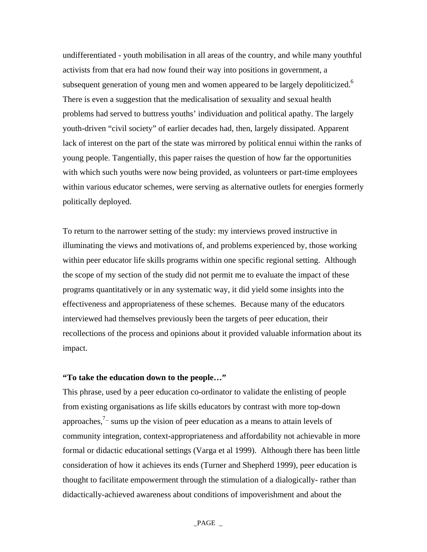undifferentiated - youth mobilisation in all areas of the country, and while many youthful activists from that era had now found their way into positions in government, a subsequent generation of young men and women appeared to be largely depoliticized.<sup>6</sup> There is even a suggestion that the medicalisation of sexuality and sexual health problems had served to buttress youths' individuation and political apathy. The largely youth-driven "civil society" of earlier decades had, then, largely dissipated. Apparent lack of interest on the part of the state was mirrored by political ennui within the ranks of young people. Tangentially, this paper raises the question of how far the opportunities with which such youths were now being provided, as volunteers or part-time employees within various educator schemes, were serving as alternative outlets for energies formerly politically deployed.

To return to the narrower setting of the study: my interviews proved instructive in illuminating the views and motivations of, and problems experienced by, those working within peer educator life skills programs within one specific regional setting. Although the scope of my section of the study did not permit me to evaluate the impact of these programs quantitatively or in any systematic way, it did yield some insights into the effectiveness and appropriateness of these schemes. Because many of the educators interviewed had themselves previously been the targets of peer education, their recollections of the process and opinions about it provided valuable information about its impact.

# **"To take the education down to the people…"**

This phrase, used by a peer education co-ordinator to validate the enlisting of people from existing organisations as life skills educators by contrast with more top-down approaches,<sup> $7-$ </sup> sums up the vision of peer education as a means to attain levels of community integration, context-appropriateness and affordability not achievable in more formal or didactic educational settings (Varga et al 1999). Although there has been little consideration of how it achieves its ends (Turner and Shepherd 1999), peer education is thought to facilitate empowerment through the stimulation of a dialogically- rather than didactically-achieved awareness about conditions of impoverishment and about the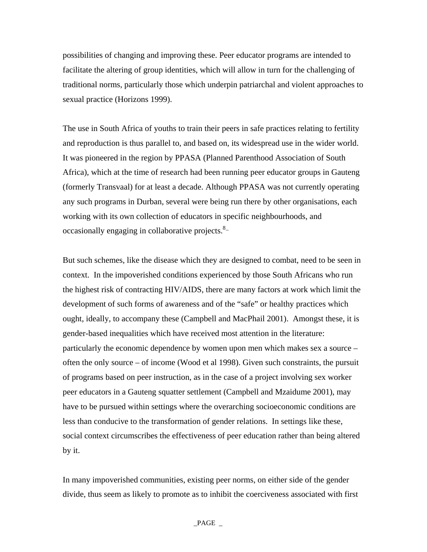possibilities of changing and improving these. Peer educator programs are intended to facilitate the altering of group identities, which will allow in turn for the challenging of traditional norms, particularly those which underpin patriarchal and violent approaches to sexual practice (Horizons 1999).

The use in South Africa of youths to train their peers in safe practices relating to fertility and reproduction is thus parallel to, and based on, its widespread use in the wider world. It was pioneered in the region by PPASA (Planned Parenthood Association of South Africa), which at the time of research had been running peer educator groups in Gauteng (formerly Transvaal) for at least a decade. Although PPASA was not currently operating any such programs in Durban, several were being run there by other organisations, each working with its own collection of educators in specific neighbourhoods, and occasionally engaging in collaborative projects.<sup>8</sup>-

But such schemes, like the disease which they are designed to combat, need to be seen in context. In the impoverished conditions experienced by those South Africans who run the highest risk of contracting HIV/AIDS, there are many factors at work which limit the development of such forms of awareness and of the "safe" or healthy practices which ought, ideally, to accompany these (Campbell and MacPhail 2001). Amongst these, it is gender-based inequalities which have received most attention in the literature: particularly the economic dependence by women upon men which makes sex a source – often the only source – of income (Wood et al 1998). Given such constraints, the pursuit of programs based on peer instruction, as in the case of a project involving sex worker peer educators in a Gauteng squatter settlement (Campbell and Mzaidume 2001), may have to be pursued within settings where the overarching socioeconomic conditions are less than conducive to the transformation of gender relations. In settings like these, social context circumscribes the effectiveness of peer education rather than being altered by it.

In many impoverished communities, existing peer norms, on either side of the gender divide, thus seem as likely to promote as to inhibit the coerciveness associated with first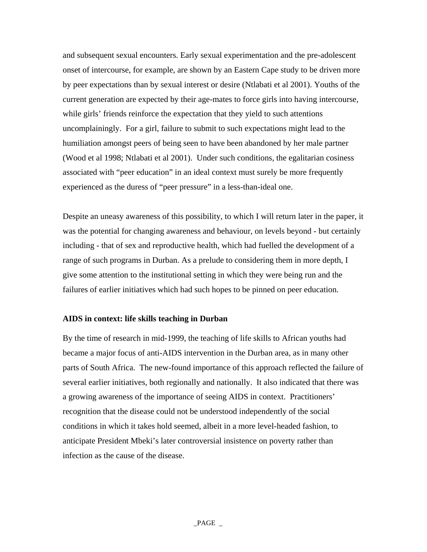and subsequent sexual encounters. Early sexual experimentation and the pre-adolescent onset of intercourse, for example, are shown by an Eastern Cape study to be driven more by peer expectations than by sexual interest or desire (Ntlabati et al 2001). Youths of the current generation are expected by their age-mates to force girls into having intercourse, while girls' friends reinforce the expectation that they yield to such attentions uncomplainingly. For a girl, failure to submit to such expectations might lead to the humiliation amongst peers of being seen to have been abandoned by her male partner (Wood et al 1998; Ntlabati et al 2001). Under such conditions, the egalitarian cosiness associated with "peer education" in an ideal context must surely be more frequently experienced as the duress of "peer pressure" in a less-than-ideal one.

Despite an uneasy awareness of this possibility, to which I will return later in the paper, it was the potential for changing awareness and behaviour, on levels beyond - but certainly including - that of sex and reproductive health, which had fuelled the development of a range of such programs in Durban. As a prelude to considering them in more depth, I give some attention to the institutional setting in which they were being run and the failures of earlier initiatives which had such hopes to be pinned on peer education.

# **AIDS in context: life skills teaching in Durban**

By the time of research in mid-1999, the teaching of life skills to African youths had became a major focus of anti-AIDS intervention in the Durban area, as in many other parts of South Africa. The new-found importance of this approach reflected the failure of several earlier initiatives, both regionally and nationally. It also indicated that there was a growing awareness of the importance of seeing AIDS in context. Practitioners' recognition that the disease could not be understood independently of the social conditions in which it takes hold seemed, albeit in a more level-headed fashion, to anticipate President Mbeki's later controversial insistence on poverty rather than infection as the cause of the disease.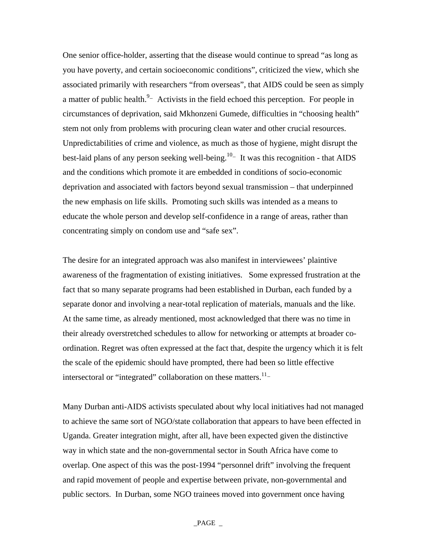One senior office-holder, asserting that the disease would continue to spread "as long as you have poverty, and certain socioeconomic conditions", criticized the view, which she associated primarily with researchers "from overseas", that AIDS could be seen as simply a matter of public health.  $9 -$  Activists in the field echoed this perception. For people in circumstances of deprivation, said Mkhonzeni Gumede, difficulties in "choosing health" stem not only from problems with procuring clean water and other crucial resources. Unpredictabilities of crime and violence, as much as those of hygiene, might disrupt the best-laid plans of any person seeking well-being.<sup>10</sup> $-$  It was this recognition - that AIDS and the conditions which promote it are embedded in conditions of socio-economic deprivation and associated with factors beyond sexual transmission – that underpinned the new emphasis on life skills. Promoting such skills was intended as a means to educate the whole person and develop self-confidence in a range of areas, rather than concentrating simply on condom use and "safe sex".

The desire for an integrated approach was also manifest in interviewees' plaintive awareness of the fragmentation of existing initiatives. Some expressed frustration at the fact that so many separate programs had been established in Durban, each funded by a separate donor and involving a near-total replication of materials, manuals and the like. At the same time, as already mentioned, most acknowledged that there was no time in their already overstretched schedules to allow for networking or attempts at broader coordination. Regret was often expressed at the fact that, despite the urgency which it is felt the scale of the epidemic should have prompted, there had been so little effective intersectoral or "integrated" collaboration on these matters.<sup>11–</sup>

Many Durban anti-AIDS activists speculated about why local initiatives had not managed to achieve the same sort of NGO/state collaboration that appears to have been effected in Uganda. Greater integration might, after all, have been expected given the distinctive way in which state and the non-governmental sector in South Africa have come to overlap. One aspect of this was the post-1994 "personnel drift" involving the frequent and rapid movement of people and expertise between private, non-governmental and public sectors. In Durban, some NGO trainees moved into government once having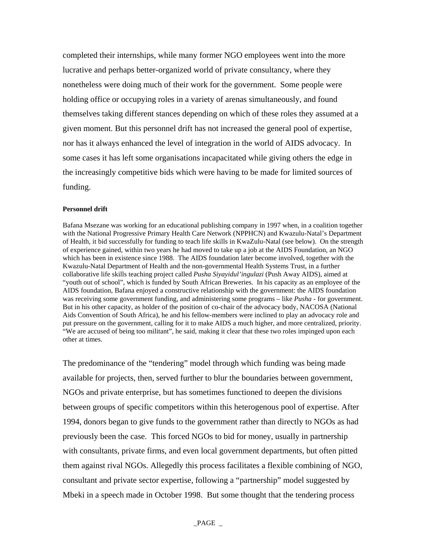completed their internships, while many former NGO employees went into the more lucrative and perhaps better-organized world of private consultancy, where they nonetheless were doing much of their work for the government. Some people were holding office or occupying roles in a variety of arenas simultaneously, and found themselves taking different stances depending on which of these roles they assumed at a given moment. But this personnel drift has not increased the general pool of expertise, nor has it always enhanced the level of integration in the world of AIDS advocacy. In some cases it has left some organisations incapacitated while giving others the edge in the increasingly competitive bids which were having to be made for limited sources of funding.

#### **Personnel drift**

Bafana Msezane was working for an educational publishing company in 1997 when, in a coalition together with the National Progressive Primary Health Care Network (NPPHCN) and Kwazulu-Natal's Department of Health, it bid successfully for funding to teach life skills in KwaZulu-Natal (see below). On the strength of experience gained, within two years he had moved to take up a job at the AIDS Foundation, an NGO which has been in existence since 1988. The AIDS foundation later become involved, together with the Kwazulu-Natal Department of Health and the non-governmental Health Systems Trust, in a further collaborative life skills teaching project called *Pusha Siyayidul'ingulazi* (Push Away AIDS), aimed at "youth out of school", which is funded by South African Breweries. In his capacity as an employee of the AIDS foundation, Bafana enjoyed a constructive relationship with the government: the AIDS foundation was receiving some government funding, and administering some programs – like *Pusha* - for government. But in his other capacity, as holder of the position of co-chair of the advocacy body, NACOSA (National Aids Convention of South Africa), he and his fellow-members were inclined to play an advocacy role and put pressure on the government, calling for it to make AIDS a much higher, and more centralized, priority. "We are accused of being too militant", he said, making it clear that these two roles impinged upon each other at times.

The predominance of the "tendering" model through which funding was being made available for projects, then, served further to blur the boundaries between government, NGOs and private enterprise, but has sometimes functioned to deepen the divisions between groups of specific competitors within this heterogenous pool of expertise. After 1994, donors began to give funds to the government rather than directly to NGOs as had previously been the case. This forced NGOs to bid for money, usually in partnership with consultants, private firms, and even local government departments, but often pitted them against rival NGOs. Allegedly this process facilitates a flexible combining of NGO, consultant and private sector expertise, following a "partnership" model suggested by Mbeki in a speech made in October 1998. But some thought that the tendering process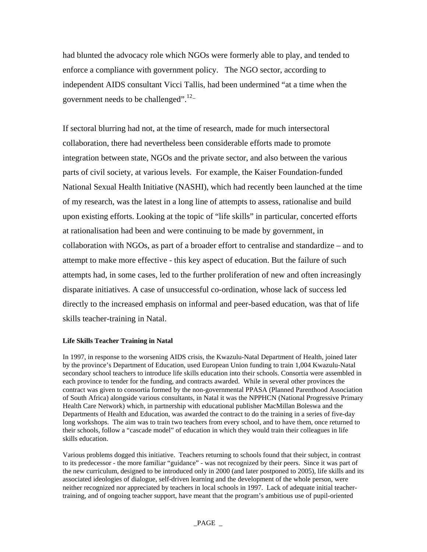had blunted the advocacy role which NGOs were formerly able to play, and tended to enforce a compliance with government policy. The NGO sector, according to independent AIDS consultant Vicci Tallis, had been undermined "at a time when the government needs to be challenged". $12$ -

If sectoral blurring had not, at the time of research, made for much intersectoral collaboration, there had nevertheless been considerable efforts made to promote integration between state, NGOs and the private sector, and also between the various parts of civil society, at various levels. For example, the Kaiser Foundation-funded National Sexual Health Initiative (NASHI), which had recently been launched at the time of my research, was the latest in a long line of attempts to assess, rationalise and build upon existing efforts. Looking at the topic of "life skills" in particular, concerted efforts at rationalisation had been and were continuing to be made by government, in collaboration with NGOs, as part of a broader effort to centralise and standardize – and to attempt to make more effective - this key aspect of education. But the failure of such attempts had, in some cases, led to the further proliferation of new and often increasingly disparate initiatives. A case of unsuccessful co-ordination, whose lack of success led directly to the increased emphasis on informal and peer-based education, was that of life skills teacher-training in Natal.

### **Life Skills Teacher Training in Natal**

In 1997, in response to the worsening AIDS crisis, the Kwazulu-Natal Department of Health, joined later by the province's Department of Education, used European Union funding to train 1,004 Kwazulu-Natal secondary school teachers to introduce life skills education into their schools. Consortia were assembled in each province to tender for the funding, and contracts awarded. While in several other provinces the contract was given to consortia formed by the non-governmental PPASA (Planned Parenthood Association of South Africa) alongside various consultants, in Natal it was the NPPHCN (National Progressive Primary Health Care Network) which, in partnership with educational publisher MacMillan Boleswa and the Departments of Health and Education, was awarded the contract to do the training in a series of five-day long workshops. The aim was to train two teachers from every school, and to have them, once returned to their schools, follow a "cascade model" of education in which they would train their colleagues in life skills education.

Various problems dogged this initiative. Teachers returning to schools found that their subject, in contrast to its predecessor - the more familiar "guidance" - was not recognized by their peers. Since it was part of the new curriculum, designed to be introduced only in 2000 (and later postponed to 2005), life skills and its associated ideologies of dialogue, self-driven learning and the development of the whole person, were neither recognized nor appreciated by teachers in local schools in 1997. Lack of adequate initial teachertraining, and of ongoing teacher support, have meant that the program's ambitious use of pupil-oriented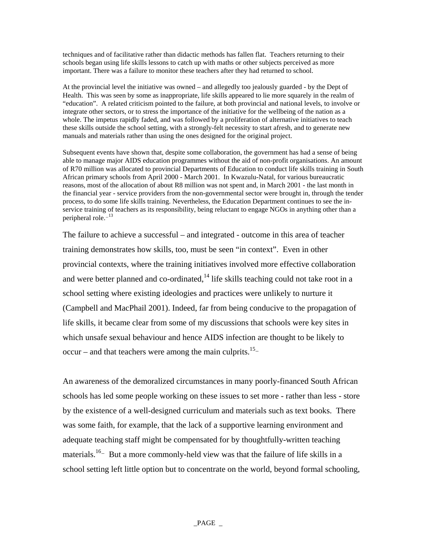techniques and of facilitative rather than didactic methods has fallen flat. Teachers returning to their schools began using life skills lessons to catch up with maths or other subjects perceived as more important. There was a failure to monitor these teachers after they had returned to school.

At the provincial level the initiative was owned – and allegedly too jealously guarded - by the Dept of Health. This was seen by some as inappropriate, life skills appeared to lie more squarely in the realm of "education". A related criticism pointed to the failure, at both provincial and national levels, to involve or integrate other sectors, or to stress the importance of the initiative for the wellbeing of the nation as a whole. The impetus rapidly faded, and was followed by a proliferation of alternative initiatives to teach these skills outside the school setting, with a strongly-felt necessity to start afresh, and to generate new manuals and materials rather than using the ones designed for the original project.

Subsequent events have shown that, despite some collaboration, the government has had a sense of being able to manage major AIDS education programmes without the aid of non-profit organisations. An amount of R70 million was allocated to provincial Departments of Education to conduct life skills training in South African primary schools from April 2000 - March 2001. In Kwazulu-Natal, for various bureaucratic reasons, most of the allocation of about R8 million was not spent and, in March 2001 - the last month in the financial year - service providers from the non-governmental sector were brought in, through the tender process, to do some life skills training. Nevertheless, the Education Department continues to see the inservice training of teachers as its responsibility, being reluctant to engage NGOs in anything other than a peripheral role. $-13$ 

The failure to achieve a successful – and integrated - outcome in this area of teacher training demonstrates how skills, too, must be seen "in context". Even in other provincial contexts, where the training initiatives involved more effective collaboration and were better planned and co-ordinated, $^{14}$  life skills teaching could not take root in a school setting where existing ideologies and practices were unlikely to nurture it (Campbell and MacPhail 2001). Indeed, far from being conducive to the propagation of life skills, it became clear from some of my discussions that schools were key sites in which unsafe sexual behaviour and hence AIDS infection are thought to be likely to occur – and that teachers were among the main culprits.<sup>15</sup>

An awareness of the demoralized circumstances in many poorly-financed South African schools has led some people working on these issues to set more - rather than less - store by the existence of a well-designed curriculum and materials such as text books. There was some faith, for example, that the lack of a supportive learning environment and adequate teaching staff might be compensated for by thoughtfully-written teaching materials.<sup>16</sup> But a more commonly-held view was that the failure of life skills in a school setting left little option but to concentrate on the world, beyond formal schooling,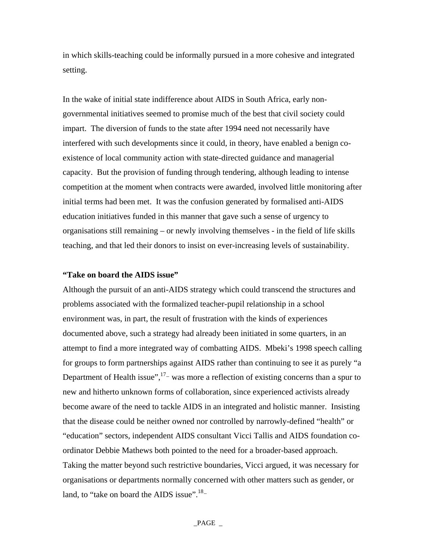in which skills-teaching could be informally pursued in a more cohesive and integrated setting.

In the wake of initial state indifference about AIDS in South Africa, early nongovernmental initiatives seemed to promise much of the best that civil society could impart. The diversion of funds to the state after 1994 need not necessarily have interfered with such developments since it could, in theory, have enabled a benign coexistence of local community action with state-directed guidance and managerial capacity. But the provision of funding through tendering, although leading to intense competition at the moment when contracts were awarded, involved little monitoring after initial terms had been met. It was the confusion generated by formalised anti-AIDS education initiatives funded in this manner that gave such a sense of urgency to organisations still remaining – or newly involving themselves - in the field of life skills teaching, and that led their donors to insist on ever-increasing levels of sustainability.

# **"Take on board the AIDS issue"**

Although the pursuit of an anti-AIDS strategy which could transcend the structures and problems associated with the formalized teacher-pupil relationship in a school environment was, in part, the result of frustration with the kinds of experiences documented above, such a strategy had already been initiated in some quarters, in an attempt to find a more integrated way of combatting AIDS. Mbeki's 1998 speech calling for groups to form partnerships against AIDS rather than continuing to see it as purely "a Department of Health issue", $17$  was more a reflection of existing concerns than a spur to new and hitherto unknown forms of collaboration, since experienced activists already become aware of the need to tackle AIDS in an integrated and holistic manner. Insisting that the disease could be neither owned nor controlled by narrowly-defined "health" or "education" sectors, independent AIDS consultant Vicci Tallis and AIDS foundation coordinator Debbie Mathews both pointed to the need for a broader-based approach. Taking the matter beyond such restrictive boundaries, Vicci argued, it was necessary for organisations or departments normally concerned with other matters such as gender, or land, to "take on board the AIDS issue".<sup>18</sup>-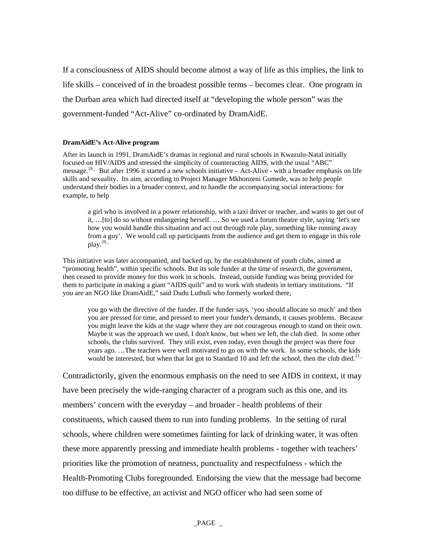If a consciousness of AIDS should become almost a way of life as this implies, the link to life skills – conceived of in the broadest possible terms – becomes clear. One program in the Durban area which had directed itself at "developing the whole person" was the government-funded "Act-Alive" co-ordinated by DramAidE.

#### **DramAidE's Act-Alive program**

After its launch in 1991, DramAidE's dramas in regional and rural schools in Kwazulu-Natal initially focused on HIV/AIDS and stressed the simplicity of counteracting AIDS, with the usual "ABC" message.<sup>19</sup> But after 1996 it started a new schools initiative – Act-Alive - with a broader emphasis on life skills and sexuality. Its aim, according to Project Manager Mkhonzeni Gumede, was to help people understand their bodies in a broader context, and to handle the accompanying social interactions: for example, to help

a girl who is involved in a power relationship, with a taxi driver or teacher, and wants to get out of it, …[to] do so without endangering herself. … So we used a forum theatre style, saying 'let's see how you would handle this situation and act out through role play, something like running away from a guy'. We would call up participants from the audience and get them to engage in this role play. $20 -$ 

This initiative was later accompanied, and backed up, by the establishment of youth clubs, aimed at "promoting health", within specific schools. But its sole funder at the time of research, the government, then ceased to provide money for this work in schools. Instead, outside funding was being provided for them to participate in making a giant "AIDS quilt" and to work with students in tertiary institutions. "If you are an NGO like DramAidE," said Dudu Luthuli who formerly worked there,

you go with the directive of the funder. If the funder says, 'you should allocate so much' and then you are pressed for time, and pressed to meet your funder's demands, it causes problems. Because you might leave the kids at the stage where they are not courageous enough to stand on their own. Maybe it was the approach we used, I don't know, but when we left, the club died. In some other schools, the clubs survived. They still exist, even today, even though the project was there four years ago. …The teachers were well motivated to go on with the work. In some schools, the kids would be interested, but when that lot got to Standard 10 and left the school, then the club died.<sup>21</sup>-

Contradictorily, given the enormous emphasis on the need to see AIDS in context, it may have been precisely the wide-ranging character of a program such as this one, and its members' concern with the everyday – and broader - health problems of their constituents, which caused them to run into funding problems. In the setting of rural schools, where children were sometimes fainting for lack of drinking water, it was often these more apparently pressing and immediate health problems - together with teachers' priorities like the promotion of neatness, punctuality and respectfulness - which the Health-Promoting Clubs foregrounded. Endorsing the view that the message had become too diffuse to be effective, an activist and NGO officer who had seen some of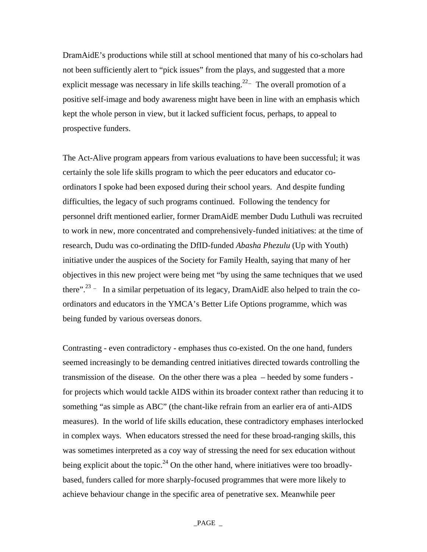DramAidE's productions while still at school mentioned that many of his co-scholars had not been sufficiently alert to "pick issues" from the plays, and suggested that a more explicit message was necessary in life skills teaching.<sup>22</sup> The overall promotion of a positive self-image and body awareness might have been in line with an emphasis which kept the whole person in view, but it lacked sufficient focus, perhaps, to appeal to prospective funders.

The Act-Alive program appears from various evaluations to have been successful; it was certainly the sole life skills program to which the peer educators and educator coordinators I spoke had been exposed during their school years. And despite funding difficulties, the legacy of such programs continued. Following the tendency for personnel drift mentioned earlier, former DramAidE member Dudu Luthuli was recruited to work in new, more concentrated and comprehensively-funded initiatives: at the time of research, Dudu was co-ordinating the DfID-funded *Abasha Phezulu* (Up with Youth) initiative under the auspices of the Society for Family Health, saying that many of her objectives in this new project were being met "by using the same techniques that we used there".<sup>23</sup> – In a similar perpetuation of its legacy, DramAidE also helped to train the coordinators and educators in the YMCA's Better Life Options programme, which was being funded by various overseas donors.

Contrasting - even contradictory - emphases thus co-existed. On the one hand, funders seemed increasingly to be demanding centred initiatives directed towards controlling the transmission of the disease. On the other there was a plea – heeded by some funders for projects which would tackle AIDS within its broader context rather than reducing it to something "as simple as ABC" (the chant-like refrain from an earlier era of anti-AIDS measures). In the world of life skills education, these contradictory emphases interlocked in complex ways. When educators stressed the need for these broad-ranging skills, this was sometimes interpreted as a coy way of stressing the need for sex education without being explicit about the topic.<sup>24</sup> On the other hand, where initiatives were too broadlybased, funders called for more sharply-focused programmes that were more likely to achieve behaviour change in the specific area of penetrative sex. Meanwhile peer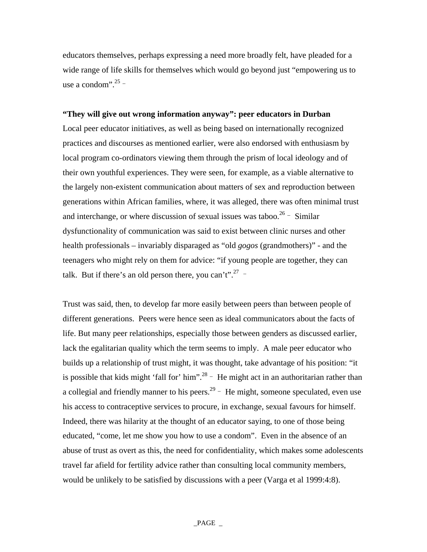educators themselves, perhaps expressing a need more broadly felt, have pleaded for a wide range of life skills for themselves which would go beyond just "empowering us to use a condom". $25 -$ 

# **"They will give out wrong information anyway": peer educators in Durban**

Local peer educator initiatives, as well as being based on internationally recognized practices and discourses as mentioned earlier, were also endorsed with enthusiasm by local program co-ordinators viewing them through the prism of local ideology and of their own youthful experiences. They were seen, for example, as a viable alternative to the largely non-existent communication about matters of sex and reproduction between generations within African families, where, it was alleged, there was often minimal trust and interchange, or where discussion of sexual issues was taboo.<sup>26</sup> - Similar dysfunctionality of communication was said to exist between clinic nurses and other health professionals – invariably disparaged as "old *gogos* (grandmothers)" - and the teenagers who might rely on them for advice: "if young people are together, they can talk. But if there's an old person there, you can't".<sup>27</sup> -

Trust was said, then, to develop far more easily between peers than between people of different generations. Peers were hence seen as ideal communicators about the facts of life. But many peer relationships, especially those between genders as discussed earlier, lack the egalitarian quality which the term seems to imply. A male peer educator who builds up a relationship of trust might, it was thought, take advantage of his position: "it is possible that kids might 'fall for' him".<sup>28</sup>  $-$  He might act in an authoritarian rather than a collegial and friendly manner to his peers.<sup>29</sup>  $-$  He might, someone speculated, even use his access to contraceptive services to procure, in exchange, sexual favours for himself. Indeed, there was hilarity at the thought of an educator saying, to one of those being educated, "come, let me show you how to use a condom". Even in the absence of an abuse of trust as overt as this, the need for confidentiality, which makes some adolescents travel far afield for fertility advice rather than consulting local community members, would be unlikely to be satisfied by discussions with a peer (Varga et al 1999:4:8).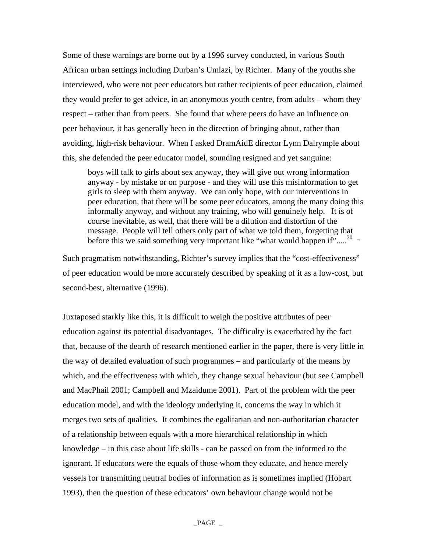Some of these warnings are borne out by a 1996 survey conducted, in various South African urban settings including Durban's Umlazi, by Richter. Many of the youths she interviewed, who were not peer educators but rather recipients of peer education, claimed they would prefer to get advice, in an anonymous youth centre, from adults – whom they respect – rather than from peers. She found that where peers do have an influence on peer behaviour, it has generally been in the direction of bringing about, rather than avoiding, high-risk behaviour. When I asked DramAidE director Lynn Dalrymple about this, she defended the peer educator model, sounding resigned and yet sanguine:

boys will talk to girls about sex anyway, they will give out wrong information anyway - by mistake or on purpose - and they will use this misinformation to get girls to sleep with them anyway. We can only hope, with our interventions in peer education, that there will be some peer educators, among the many doing this informally anyway, and without any training, who will genuinely help. It is of course inevitable, as well, that there will be a dilution and distortion of the message. People will tell others only part of what we told them, forgetting that before this we said something very important like "what would happen if"..... $30 -$ 

Such pragmatism notwithstanding, Richter's survey implies that the "cost-effectiveness" of peer education would be more accurately described by speaking of it as a low-cost, but second-best, alternative (1996).

Juxtaposed starkly like this, it is difficult to weigh the positive attributes of peer education against its potential disadvantages. The difficulty is exacerbated by the fact that, because of the dearth of research mentioned earlier in the paper, there is very little in the way of detailed evaluation of such programmes – and particularly of the means by which, and the effectiveness with which, they change sexual behaviour (but see Campbell and MacPhail 2001; Campbell and Mzaidume 2001). Part of the problem with the peer education model, and with the ideology underlying it, concerns the way in which it merges two sets of qualities. It combines the egalitarian and non-authoritarian character of a relationship between equals with a more hierarchical relationship in which knowledge – in this case about life skills - can be passed on from the informed to the ignorant. If educators were the equals of those whom they educate, and hence merely vessels for transmitting neutral bodies of information as is sometimes implied (Hobart 1993), then the question of these educators' own behaviour change would not be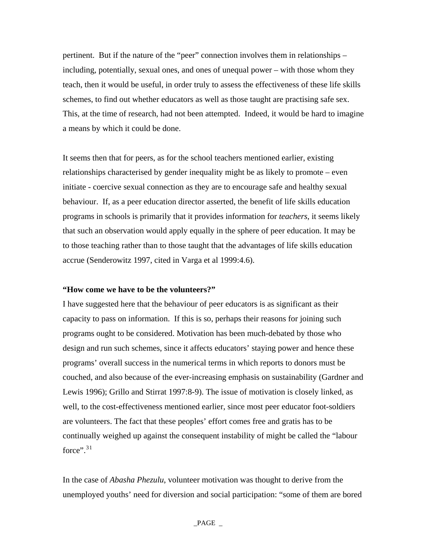pertinent. But if the nature of the "peer" connection involves them in relationships – including, potentially, sexual ones, and ones of unequal power – with those whom they teach, then it would be useful, in order truly to assess the effectiveness of these life skills schemes, to find out whether educators as well as those taught are practising safe sex. This, at the time of research, had not been attempted. Indeed, it would be hard to imagine a means by which it could be done.

It seems then that for peers, as for the school teachers mentioned earlier, existing relationships characterised by gender inequality might be as likely to promote – even initiate - coercive sexual connection as they are to encourage safe and healthy sexual behaviour. If, as a peer education director asserted, the benefit of life skills education programs in schools is primarily that it provides information for *teachers*, it seems likely that such an observation would apply equally in the sphere of peer education. It may be to those teaching rather than to those taught that the advantages of life skills education accrue (Senderowitz 1997, cited in Varga et al 1999:4.6).

# **"How come we have to be the volunteers?"**

I have suggested here that the behaviour of peer educators is as significant as their capacity to pass on information. If this is so, perhaps their reasons for joining such programs ought to be considered. Motivation has been much-debated by those who design and run such schemes, since it affects educators' staying power and hence these programs' overall success in the numerical terms in which reports to donors must be couched, and also because of the ever-increasing emphasis on sustainability (Gardner and Lewis 1996); Grillo and Stirrat 1997:8-9). The issue of motivation is closely linked, as well, to the cost-effectiveness mentioned earlier, since most peer educator foot-soldiers are volunteers. The fact that these peoples' effort comes free and gratis has to be continually weighed up against the consequent instability of might be called the "labour force". $31$  $31$ 

In the case of *Abasha Phezulu*, volunteer motivation was thought to derive from the unemployed youths' need for diversion and social participation: "some of them are bored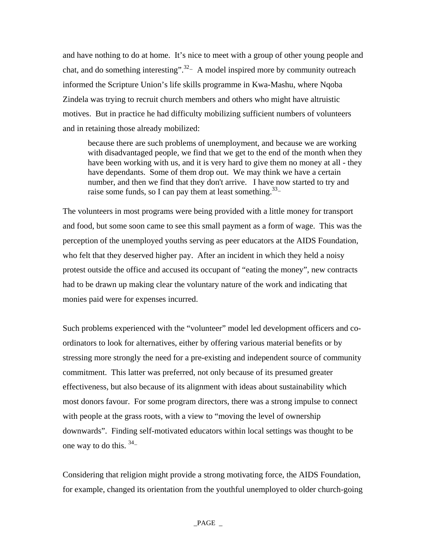and have nothing to do at home. It's nice to meet with a group of other young people and chat, and do something interesting".<sup>32</sup> A model inspired more by community outreach informed the Scripture Union's life skills programme in Kwa-Mashu, where Nqoba Zindela was trying to recruit church members and others who might have altruistic motives. But in practice he had difficulty mobilizing sufficient numbers of volunteers and in retaining those already mobilized:

because there are such problems of unemployment, and because we are working with disadvantaged people, we find that we get to the end of the month when they have been working with us, and it is very hard to give them no money at all - they have dependants. Some of them drop out. We may think we have a certain number, and then we find that they don't arrive. I have now started to try and raise some funds, so I can pay them at least something.<sup>33</sup>-

The volunteers in most programs were being provided with a little money for transport and food, but some soon came to see this small payment as a form of wage. This was the perception of the unemployed youths serving as peer educators at the AIDS Foundation, who felt that they deserved higher pay. After an incident in which they held a noisy protest outside the office and accused its occupant of "eating the money", new contracts had to be drawn up making clear the voluntary nature of the work and indicating that monies paid were for expenses incurred.

Such problems experienced with the "volunteer" model led development officers and coordinators to look for alternatives, either by offering various material benefits or by stressing more strongly the need for a pre-existing and independent source of community commitment. This latter was preferred, not only because of its presumed greater effectiveness, but also because of its alignment with ideas about sustainability which most donors favour. For some program directors, there was a strong impulse to connect with people at the grass roots, with a view to "moving the level of ownership downwards". Finding self-motivated educators within local settings was thought to be one way to do this.  $34$ -

Considering that religion might provide a strong motivating force, the AIDS Foundation, for example, changed its orientation from the youthful unemployed to older church-going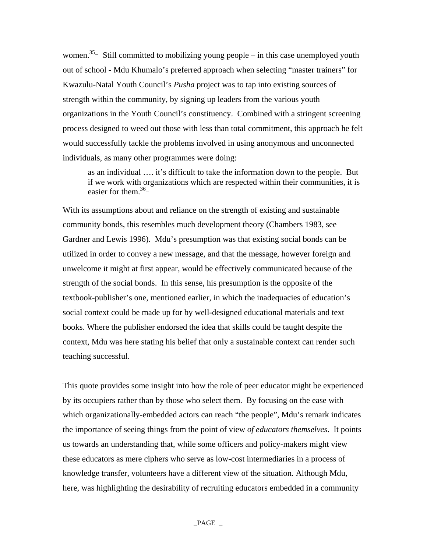women.<sup>35</sup> Still committed to mobilizing young people – in this case unemployed youth out of school - Mdu Khumalo's preferred approach when selecting "master trainers" for Kwazulu-Natal Youth Council's *Pusha* project was to tap into existing sources of strength within the community, by signing up leaders from the various youth organizations in the Youth Council's constituency. Combined with a stringent screening process designed to weed out those with less than total commitment, this approach he felt would successfully tackle the problems involved in using anonymous and unconnected individuals, as many other programmes were doing:

as an individual …. it's difficult to take the information down to the people. But if we work with organizations which are respected within their communities, it is easier for them. $36 -$ 

With its assumptions about and reliance on the strength of existing and sustainable community bonds, this resembles much development theory (Chambers 1983, see Gardner and Lewis 1996). Mdu's presumption was that existing social bonds can be utilized in order to convey a new message, and that the message, however foreign and unwelcome it might at first appear, would be effectively communicated because of the strength of the social bonds. In this sense, his presumption is the opposite of the textbook-publisher's one, mentioned earlier, in which the inadequacies of education's social context could be made up for by well-designed educational materials and text books. Where the publisher endorsed the idea that skills could be taught despite the context, Mdu was here stating his belief that only a sustainable context can render such teaching successful.

This quote provides some insight into how the role of peer educator might be experienced by its occupiers rather than by those who select them. By focusing on the ease with which organizationally-embedded actors can reach "the people", Mdu's remark indicates the importance of seeing things from the point of view *of educators themselves*. It points us towards an understanding that, while some officers and policy-makers might view these educators as mere ciphers who serve as low-cost intermediaries in a process of knowledge transfer, volunteers have a different view of the situation. Although Mdu, here, was highlighting the desirability of recruiting educators embedded in a community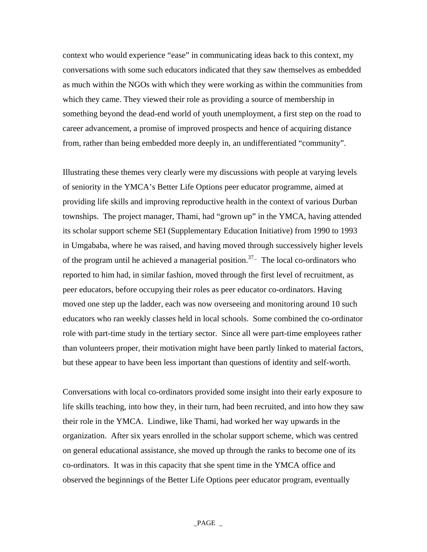context who would experience "ease" in communicating ideas back to this context, my conversations with some such educators indicated that they saw themselves as embedded as much within the NGOs with which they were working as within the communities from which they came. They viewed their role as providing a source of membership in something beyond the dead-end world of youth unemployment, a first step on the road to career advancement, a promise of improved prospects and hence of acquiring distance from, rather than being embedded more deeply in, an undifferentiated "community".

Illustrating these themes very clearly were my discussions with people at varying levels of seniority in the YMCA's Better Life Options peer educator programme, aimed at providing life skills and improving reproductive health in the context of various Durban townships. The project manager, Thami, had "grown up" in the YMCA, having attended its scholar support scheme SEI (Supplementary Education Initiative) from 1990 to 1993 in Umgababa, where he was raised, and having moved through successively higher levels of the program until he achieved a managerial position.<sup>37</sup> $-$  The local co-ordinators who reported to him had, in similar fashion, moved through the first level of recruitment, as peer educators, before occupying their roles as peer educator co-ordinators. Having moved one step up the ladder, each was now overseeing and monitoring around 10 such educators who ran weekly classes held in local schools. Some combined the co-ordinator role with part-time study in the tertiary sector. Since all were part-time employees rather than volunteers proper, their motivation might have been partly linked to material factors, but these appear to have been less important than questions of identity and self-worth.

Conversations with local co-ordinators provided some insight into their early exposure to life skills teaching, into how they, in their turn, had been recruited, and into how they saw their role in the YMCA. Lindiwe, like Thami, had worked her way upwards in the organization. After six years enrolled in the scholar support scheme, which was centred on general educational assistance, she moved up through the ranks to become one of its co-ordinators. It was in this capacity that she spent time in the YMCA office and observed the beginnings of the Better Life Options peer educator program, eventually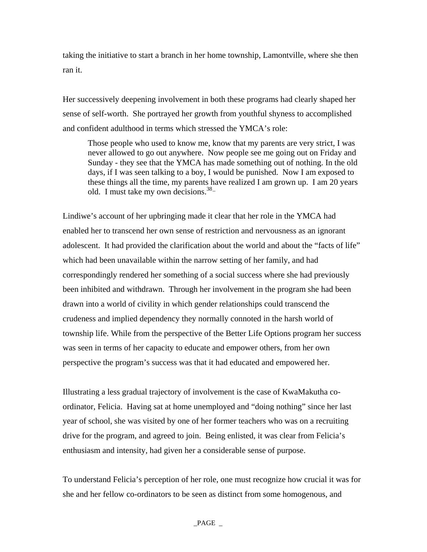taking the initiative to start a branch in her home township, Lamontville, where she then ran it.

Her successively deepening involvement in both these programs had clearly shaped her sense of self-worth. She portrayed her growth from youthful shyness to accomplished and confident adulthood in terms which stressed the YMCA's role:

Those people who used to know me, know that my parents are very strict, I was never allowed to go out anywhere. Now people see me going out on Friday and Sunday - they see that the YMCA has made something out of nothing. In the old days, if I was seen talking to a boy, I would be punished. Now I am exposed to these things all the time, my parents have realized I am grown up. I am 20 years old. I must take my own decisions.  $38 -$ 

Lindiwe's account of her upbringing made it clear that her role in the YMCA had enabled her to transcend her own sense of restriction and nervousness as an ignorant adolescent. It had provided the clarification about the world and about the "facts of life" which had been unavailable within the narrow setting of her family, and had correspondingly rendered her something of a social success where she had previously been inhibited and withdrawn. Through her involvement in the program she had been drawn into a world of civility in which gender relationships could transcend the crudeness and implied dependency they normally connoted in the harsh world of township life. While from the perspective of the Better Life Options program her success was seen in terms of her capacity to educate and empower others, from her own perspective the program's success was that it had educated and empowered her.

Illustrating a less gradual trajectory of involvement is the case of KwaMakutha coordinator, Felicia. Having sat at home unemployed and "doing nothing" since her last year of school, she was visited by one of her former teachers who was on a recruiting drive for the program, and agreed to join. Being enlisted, it was clear from Felicia's enthusiasm and intensity, had given her a considerable sense of purpose.

To understand Felicia's perception of her role, one must recognize how crucial it was for she and her fellow co-ordinators to be seen as distinct from some homogenous, and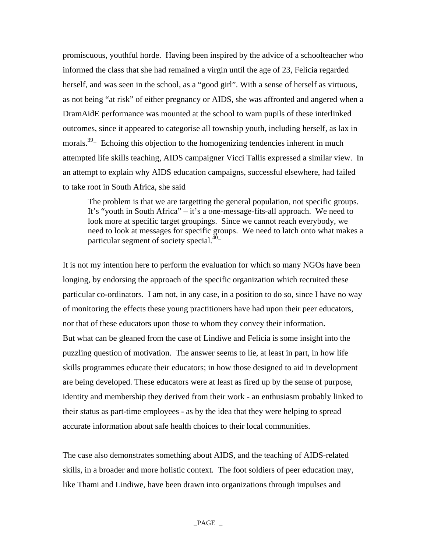promiscuous, youthful horde. Having been inspired by the advice of a schoolteacher who informed the class that she had remained a virgin until the age of 23, Felicia regarded herself, and was seen in the school, as a "good girl". With a sense of herself as virtuous, as not being "at risk" of either pregnancy or AIDS, she was affronted and angered when a DramAidE performance was mounted at the school to warn pupils of these interlinked outcomes, since it appeared to categorise all township youth, including herself, as lax in morals.<sup>39–</sup> Echoing this objection to the homogenizing tendencies inherent in much attempted life skills teaching, AIDS campaigner Vicci Tallis expressed a similar view. In an attempt to explain why AIDS education campaigns, successful elsewhere, had failed to take root in South Africa, she said

The problem is that we are targetting the general population, not specific groups. It's "youth in South Africa" – it's a one-message-fits-all approach. We need to look more at specific target groupings. Since we cannot reach everybody, we need to look at messages for specific groups. We need to latch onto what makes a particular segment of society special. $40-$ 

It is not my intention here to perform the evaluation for which so many NGOs have been longing, by endorsing the approach of the specific organization which recruited these particular co-ordinators. I am not, in any case, in a position to do so, since I have no way of monitoring the effects these young practitioners have had upon their peer educators, nor that of these educators upon those to whom they convey their information. But what can be gleaned from the case of Lindiwe and Felicia is some insight into the puzzling question of motivation. The answer seems to lie, at least in part, in how life skills programmes educate their educators; in how those designed to aid in development are being developed. These educators were at least as fired up by the sense of purpose, identity and membership they derived from their work - an enthusiasm probably linked to their status as part-time employees - as by the idea that they were helping to spread accurate information about safe health choices to their local communities.

The case also demonstrates something about AIDS, and the teaching of AIDS-related skills, in a broader and more holistic context. The foot soldiers of peer education may, like Thami and Lindiwe, have been drawn into organizations through impulses and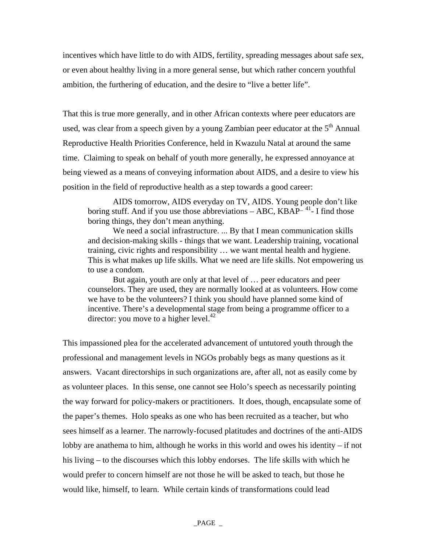incentives which have little to do with AIDS, fertility, spreading messages about safe sex, or even about healthy living in a more general sense, but which rather concern youthful ambition, the furthering of education, and the desire to "live a better life".

That this is true more generally, and in other African contexts where peer educators are used, was clear from a speech given by a young Zambian peer educator at the 5<sup>th</sup> Annual Reproductive Health Priorities Conference, held in Kwazulu Natal at around the same time. Claiming to speak on behalf of youth more generally, he expressed annoyance at being viewed as a means of conveying information about AIDS, and a desire to view his position in the field of reproductive health as a step towards a good career:

AIDS tomorrow, AIDS everyday on TV, AIDS. Young people don't like boring stuff. And if you use those abbreviations – ABC,  $KBAP^{-41}$ - I find those boring things, they don't mean anything.

We need a social infrastructure. ... By that I mean communication skills and decision-making skills - things that we want. Leadership training, vocational training, civic rights and responsibility … we want mental health and hygiene. This is what makes up life skills. What we need are life skills. Not empowering us to use a condom.

But again, youth are only at that level of … peer educators and peer counselors. They are used, they are normally looked at as volunteers. How come we have to be the volunteers? I think you should have planned some kind of incentive. There's a developmental stage from being a programme officer to a director: you move to a higher level. $42$ 

This impassioned plea for the accelerated advancement of untutored youth through the professional and management levels in NGOs probably begs as many questions as it answers. Vacant directorships in such organizations are, after all, not as easily come by as volunteer places. In this sense, one cannot see Holo's speech as necessarily pointing the way forward for policy-makers or practitioners. It does, though, encapsulate some of the paper's themes. Holo speaks as one who has been recruited as a teacher, but who sees himself as a learner. The narrowly-focused platitudes and doctrines of the anti-AIDS lobby are anathema to him, although he works in this world and owes his identity  $-$  if not his living – to the discourses which this lobby endorses. The life skills with which he would prefer to concern himself are not those he will be asked to teach, but those he would like, himself, to learn. While certain kinds of transformations could lead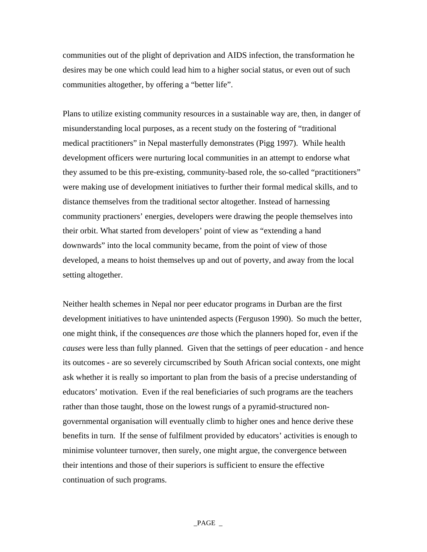communities out of the plight of deprivation and AIDS infection, the transformation he desires may be one which could lead him to a higher social status, or even out of such communities altogether, by offering a "better life".

Plans to utilize existing community resources in a sustainable way are, then, in danger of misunderstanding local purposes, as a recent study on the fostering of "traditional medical practitioners" in Nepal masterfully demonstrates (Pigg 1997). While health development officers were nurturing local communities in an attempt to endorse what they assumed to be this pre-existing, community-based role, the so-called "practitioners" were making use of development initiatives to further their formal medical skills, and to distance themselves from the traditional sector altogether. Instead of harnessing community practioners' energies, developers were drawing the people themselves into their orbit. What started from developers' point of view as "extending a hand downwards" into the local community became, from the point of view of those developed, a means to hoist themselves up and out of poverty, and away from the local setting altogether.

Neither health schemes in Nepal nor peer educator programs in Durban are the first development initiatives to have unintended aspects (Ferguson 1990). So much the better, one might think, if the consequences *are* those which the planners hoped for, even if the *causes* were less than fully planned. Given that the settings of peer education - and hence its outcomes - are so severely circumscribed by South African social contexts, one might ask whether it is really so important to plan from the basis of a precise understanding of educators' motivation. Even if the real beneficiaries of such programs are the teachers rather than those taught, those on the lowest rungs of a pyramid-structured nongovernmental organisation will eventually climb to higher ones and hence derive these benefits in turn. If the sense of fulfilment provided by educators' activities is enough to minimise volunteer turnover, then surely, one might argue, the convergence between their intentions and those of their superiors is sufficient to ensure the effective continuation of such programs.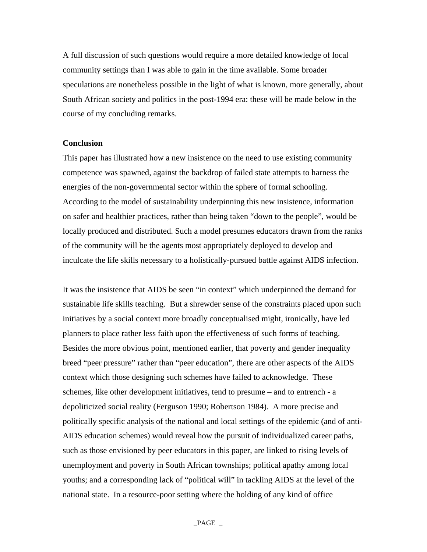A full discussion of such questions would require a more detailed knowledge of local community settings than I was able to gain in the time available. Some broader speculations are nonetheless possible in the light of what is known, more generally, about South African society and politics in the post-1994 era: these will be made below in the course of my concluding remarks.

# **Conclusion**

This paper has illustrated how a new insistence on the need to use existing community competence was spawned, against the backdrop of failed state attempts to harness the energies of the non-governmental sector within the sphere of formal schooling. According to the model of sustainability underpinning this new insistence, information on safer and healthier practices, rather than being taken "down to the people", would be locally produced and distributed. Such a model presumes educators drawn from the ranks of the community will be the agents most appropriately deployed to develop and inculcate the life skills necessary to a holistically-pursued battle against AIDS infection.

It was the insistence that AIDS be seen "in context" which underpinned the demand for sustainable life skills teaching. But a shrewder sense of the constraints placed upon such initiatives by a social context more broadly conceptualised might, ironically, have led planners to place rather less faith upon the effectiveness of such forms of teaching. Besides the more obvious point, mentioned earlier, that poverty and gender inequality breed "peer pressure" rather than "peer education", there are other aspects of the AIDS context which those designing such schemes have failed to acknowledge. These schemes, like other development initiatives, tend to presume – and to entrench - a depoliticized social reality (Ferguson 1990; Robertson 1984). A more precise and politically specific analysis of the national and local settings of the epidemic (and of anti-AIDS education schemes) would reveal how the pursuit of individualized career paths, such as those envisioned by peer educators in this paper, are linked to rising levels of unemployment and poverty in South African townships; political apathy among local youths; and a corresponding lack of "political will" in tackling AIDS at the level of the national state. In a resource-poor setting where the holding of any kind of office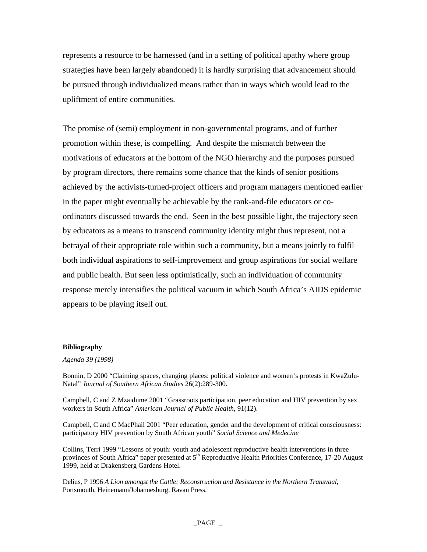represents a resource to be harnessed (and in a setting of political apathy where group strategies have been largely abandoned) it is hardly surprising that advancement should be pursued through individualized means rather than in ways which would lead to the upliftment of entire communities.

The promise of (semi) employment in non-governmental programs, and of further promotion within these, is compelling. And despite the mismatch between the motivations of educators at the bottom of the NGO hierarchy and the purposes pursued by program directors, there remains some chance that the kinds of senior positions achieved by the activists-turned-project officers and program managers mentioned earlier in the paper might eventually be achievable by the rank-and-file educators or coordinators discussed towards the end. Seen in the best possible light, the trajectory seen by educators as a means to transcend community identity might thus represent, not a betrayal of their appropriate role within such a community, but a means jointly to fulfil both individual aspirations to self-improvement and group aspirations for social welfare and public health. But seen less optimistically, such an individuation of community response merely intensifies the political vacuum in which South Africa's AIDS epidemic appears to be playing itself out.

#### **Bibliography**

#### *Agenda 39 (1998)*

Bonnin, D 2000 "Claiming spaces, changing places: political violence and women's protests in KwaZulu-Natal" *Journal of Southern African Studies* 26(2):289-300.

Campbell, C and Z Mzaidume 2001 "Grassroots participation, peer education and HIV prevention by sex workers in South Africa" *American Journal of Public Health*, 91(12).

Campbell, C and C MacPhail 2001 "Peer education, gender and the development of critical consciousness: participatory HIV prevention by South African youth" *Social Science and Medecine*

Collins, Terri 1999 "Lessons of youth: youth and adolescent reproductive health interventions in three provinces of South Africa" paper presented at  $5<sup>th</sup>$  Reproductive Health Priorities Conference, 17-20 August 1999, held at Drakensberg Gardens Hotel.

Delius, P 1996 *A Lion amongst the Cattle: Reconstruction and Resistance in the Northern Transvaal*, Portsmouth, Heinemann/Johannesburg, Ravan Press.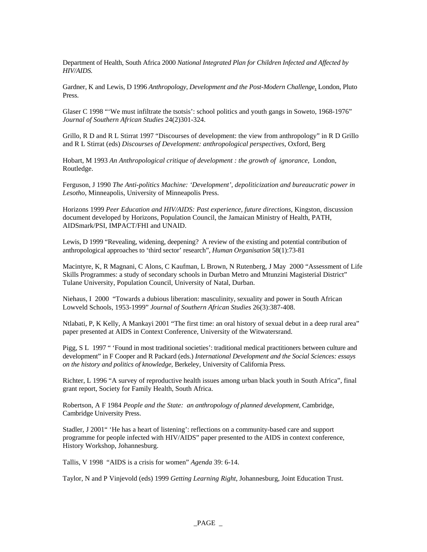Department of Health, South Africa 2000 *National Integrated Plan for Children Infected and Affected by HIV/AIDS.*

Gardner, K and Lewis, D 1996 *Anthropology, Development and the Post-Modern Challenge*, London, Pluto Press.

Glaser C 1998 "'We must infiltrate the tsotsis': school politics and youth gangs in Soweto, 1968-1976" *Journal of Southern African Studies* 24(2)301-324.

Grillo, R D and R L Stirrat 1997 "Discourses of development: the view from anthropology" in R D Grillo and R L Stirrat (eds) *Discourses of Development: anthropological perspectives,* Oxford, Berg

Hobart, M 1993 *An Anthropological critique of development : the growth of ignorance*, London, Routledge.

Ferguson, J 1990 *The Anti-politics Machine: 'Development', depoliticization and bureaucratic power in Lesotho,* Minneapolis, University of Minneapolis Press.

Horizons 1999 *Peer Education and HIV/AIDS: Past experience, future directions*, Kingston, discussion document developed by Horizons, Population Council, the Jamaican Ministry of Health, PATH, AIDSmark/PSI, IMPACT/FHI and UNAID.

Lewis, D 1999 "Revealing, widening, deepening? A review of the existing and potential contribution of anthropological approaches to 'third sector' research", *Human Organisation* 58(1):73-81

Macintyre, K, R Magnani, C Alons, C Kaufman, L Brown, N Rutenberg, J May 2000 "Assessment of Life Skills Programmes: a study of secondary schools in Durban Metro and Mtunzini Magisterial District" Tulane University, Population Council, University of Natal, Durban.

Niehaus, I 2000 "Towards a dubious liberation: masculinity, sexuality and power in South African Lowveld Schools, 1953-1999" *Journal of Southern African Studies* 26(3):387-408.

Ntlabati, P, K Kelly, A Mankayi 2001 "The first time: an oral history of sexual debut in a deep rural area" paper presented at AIDS in Context Conference, University of the Witwatersrand.

Pigg, S L 1997 " 'Found in most traditional societies': traditional medical practitioners between culture and development" in F Cooper and R Packard (eds.) *International Development and the Social Sciences: essays on the history and politics of knowledge,* Berkeley, University of California Press.

Richter, L 1996 "A survey of reproductive health issues among urban black youth in South Africa", final grant report, Society for Family Health, South Africa.

Robertson, A F 1984 *People and the State: an anthropology of planned development,* Cambridge, Cambridge University Press.

Stadler, J 2001" 'He has a heart of listening': reflections on a community-based care and support programme for people infected with HIV/AIDS" paper presented to the AIDS in context conference, History Workshop, Johannesburg.

Tallis, V 1998 "AIDS is a crisis for women" *Agenda* 39: 6-14.

Taylor, N and P Vinjevold (eds) 1999 *Getting Learning Right*, Johannesburg, Joint Education Trust.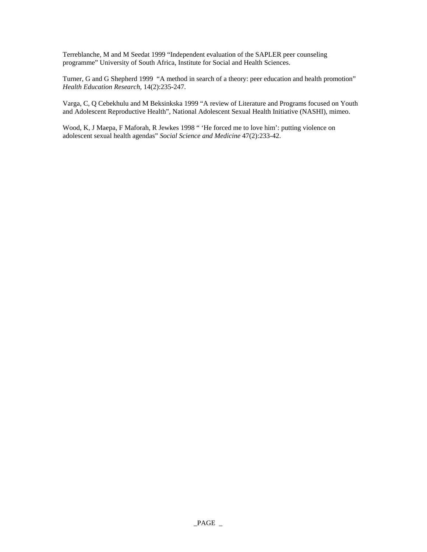Terreblanche, M and M Seedat 1999 "Independent evaluation of the SAPLER peer counseling programme" University of South Africa, Institute for Social and Health Sciences.

Turner, G and G Shepherd 1999 "A method in search of a theory: peer education and health promotion" *Health Education Research,* 14(2):235-247.

Varga, C, Q Cebekhulu and M Beksinkska 1999 "A review of Literature and Programs focused on Youth and Adolescent Reproductive Health", National Adolescent Sexual Health Initiative (NASHI), mimeo.

Wood, K, J Maepa, F Maforah, R Jewkes 1998 " 'He forced me to love him': putting violence on adolescent sexual health agendas" *Social Science and Medicine* 47(2):233-42.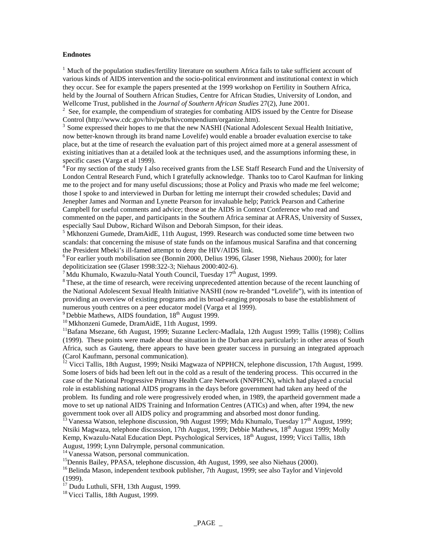#### **Endnotes**

 $<sup>1</sup>$  Much of the population studies/fertility literature on southern Africa fails to take sufficient account of</sup> various kinds of AIDS intervention and the socio-political environment and institutional context in which they occur. See for example the papers presented at the 1999 workshop on Fertility in Southern Africa, held by the Journal of Southern African Studies, Centre for African Studies, University of London, and Wellcome Trust, published in the *Journal of Southern African Studies* 27(2), June 2001. 2

 $2\degree$  See, for example, the compendium of strategies for combating AIDS issued by the Centre for Disease Control (http://www.cdc.gov/hiv/pubs/hivcompendium/organize.htm).

<sup>3</sup> Some expressed their hopes to me that the new NASHI (National Adolescent Sexual Health Initiative, now better-known through its brand name Lovelife) would enable a broader evaluation exercise to take place, but at the time of research the evaluation part of this project aimed more at a general assessment of existing initiatives than at a detailed look at the techniques used, and the assumptions informing these, in specific cases (Varga et al 1999).

For my section of the study I also received grants from the LSE Staff Research Fund and the University of London Central Research Fund, which I gratefully acknowledge. Thanks too to Carol Kaufman for linking me to the project and for many useful discussions; those at Policy and Praxis who made me feel welcome; those I spoke to and interviewed in Durban for letting me interrupt their crowded schedules; David and Jenepher James and Norman and Lynette Pearson for invaluable help; Patrick Pearson and Catherine Campbell for useful comments and advice; those at the AIDS in Context Conference who read and commented on the paper, and participants in the Southern Africa seminar at AFRAS, University of Sussex, especially Saul Dubow, Richard Wilson and Deborah Simpson, for their ideas.

<sup>5</sup> Mkhonzeni Gumede, DramAidE, 11th August, 1999. Research was conducted some time between two scandals: that concerning the misuse of state funds on the infamous musical Sarafina and that concerning the President Mbeki's ill-famed attempt to deny the HIV/AIDS link.

<sup>6</sup> For earlier youth mobilisation see (Bonnin 2000, Delius 1996, Glaser 1998, Niehaus 2000); for later depoliticization see (Glaser 1998:322-3; Niehaus 2000:402-6).

 $\frac{7}{1}$ Mdu Khumalo, Kwazulu-Natal Youth Council, Tuesday 17<sup>th</sup> August, 1999.<br><sup>8</sup>These, at the time of research, were receiving unprecedented attention because of the recent launching of the National Adolescent Sexual Health Initiative NASHI (now re-branded "Lovelife"), with its intention of providing an overview of existing programs and its broad-ranging proposals to base the establishment of numerous youth centres on a peer educator model (Varga et al 1999).

<sup>9</sup> Debbie Mathews, AIDS foundation, 18<sup>th</sup> August 1999.<br><sup>10</sup> Mkhonzeni Gumede, DramAidE, 11th August, 1999.<br><sup>11</sup>Bafana Msezane, 6th August, 1999; Suzanne Leclerc-Madlala, 12th August 1999; Tallis (1998); Collins (1999). These points were made about the situation in the Durban area particularly: in other areas of South Africa, such as Gauteng, there appears to have been greater success in pursuing an integrated approach (Carol Kaufmann, personal communication).

<sup>12</sup> Vicci Tallis, 18th August, 1999; Ntsiki Magwaza of NPPHCN, telephone discussion, 17th August, 1999. Some losers of bids had been left out in the cold as a result of the tendering process. This occurred in the case of the National Progressive Primary Health Care Network (NNPHCN), which had played a crucial role in establishing national AIDS programs in the days before government had taken any heed of the problem. Its funding and role were progressively eroded when, in 1989, the apartheid government made a move to set up national AIDS Training and Information Centres (ATICs) and when, after 1994, the new government took over all AIDS policy and programming and absorbed most donor funding.

 $^{13}$  Vanessa Watson, telephone discussion, 9th August 1999; Mdu Khumalo, Tuesday 17<sup>th</sup> August, 1999; Ntsiki Magwaza, telephone discussion, 17th August, 1999; Debbie Mathews, 18<sup>th</sup> August 1999; Molly Kemp, Kwazulu-Natal Education Dept. Psychological Services, 18<sup>th</sup> August, 1999; Vicci Tallis, 18th August, 1999; Lynn Dalrymple, personal communication.

<sup>14</sup> Vanessa Watson, personal communication.

<sup>15</sup>Dennis Bailey, PPASA, telephone discussion, 4th August, 1999, see also Niehaus (2000).

<sup>16</sup> Belinda Mason, independent textbook publisher, 7th August, 1999; see also Taylor and Vinjevold (1999).

<sup>17</sup> Dudu Luthuli, SFH, 13th August, 1999.

<sup>18</sup> Vicci Tallis, 18th August, 1999.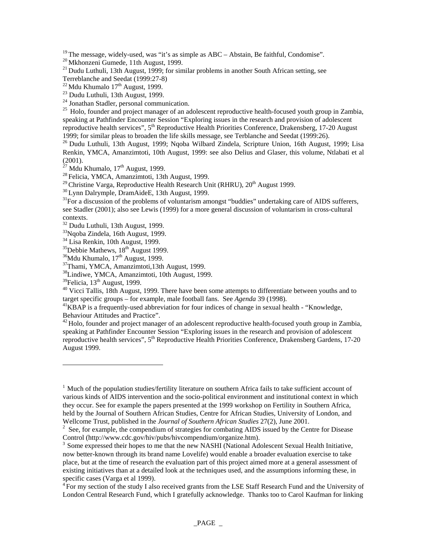<sup>19</sup> The message, widely-used, was "it's as simple as ABC – Abstain, Be faithful, Condomise".<br><sup>20</sup> Mkhonzeni Gumede, 11th August, 1999.<br><sup>21</sup> Dudu Luthuli, 13th August, 1999; for similar problems in another South African s

Terreblanche and Seedat (1999:27-8)<br><sup>22</sup> Mdu Khumalo 17<sup>th</sup> August, 1999.

 $23$  Dudu Luthuli, 13th August, 1999.

<sup>24</sup> Jonathan Stadler, personal communication.

 $^{25}$  Holo, founder and project manager of an adolescent reproductive health-focused youth group in Zambia, speaking at Pathfinder Encounter Session "Exploring issues in the research and provision of adolescent reproductive health services", 5<sup>th</sup> Reproductive Health Priorities Conference, Drakensberg, 17-20 August 1999; for similar pleas to broaden the life skills message, see Terblanche and Seedat (1999:26).

<sup>26</sup> Dudu Luthuli, 13th August, 1999; Nqoba Wilbard Zindela, Scripture Union, 16th August, 1999; Lisa Renkin, YMCA, Amanzimtoti, 10th August, 1999: see also Delius and Glaser, this volume, Ntlabati et al (2001).<br><sup>27</sup> Mdu Khumalo, 17<sup>th</sup> August, 1999.

<sup>28</sup> Felicia, YMCA, Amanzimtoti, 13th August, 1999.<br><sup>29</sup> Christine Varga, Reproductive Health Research Unit (RHRU), 20<sup>th</sup> August 1999.

 $^{30}$  Lynn Dalrymple, DramAideE, 13th August, 1999.<br> $^{31}$ For a discussion of the problems of voluntarism amongst "buddies" undertaking care of AIDS sufferers, see Stadler (2001); also see Lewis (1999) for a more general discussion of voluntarism in cross-cultural contexts.

 $32$  Dudu Luthuli, 13th August, 1999.

33Nqoba Zindela, 16th August, 1999.

 $34$  Lisa Renkin, 10th August, 1999.<br> $35$ Debbie Mathews, 18<sup>th</sup> August 1999.

<sup>36</sup>Mdu Khumalo, 17<sup>th</sup> August, 1999.<br><sup>37</sup>Thami, YMCA, Amanzimtoti,13th August, 1999.

 $^{38}$ Lindiwe, YMCA, Amanzimtoti, 10th August, 1999.<br> $^{39}$ Felicia, 13<sup>th</sup> August, 1999.

1

 $40$  Vicci Tallis, 18th August, 1999. There have been some attempts to differentiate between youths and to target specific groups – for example, male football fans. See *Agenda* 39 (1998).<br><sup>41</sup>KBAP is a frequently-used abbreviation for four indices of change in sexual health - "Knowledge,

Behaviour Attitudes and Practice".

 $^{42}$  Holo, founder and project manager of an adolescent reproductive health-focused youth group in Zambia, speaking at Pathfinder Encounter Session "Exploring issues in the research and provision of adolescent reproductive health services", 5<sup>th</sup> Reproductive Health Priorities Conference, Drakensberg Gardens, 17-20 August 1999.

<sup>&</sup>lt;sup>1</sup> Much of the population studies/fertility literature on southern Africa fails to take sufficient account of various kinds of AIDS intervention and the socio-political environment and institutional context in which they occur. See for example the papers presented at the 1999 workshop on Fertility in Southern Africa, held by the Journal of Southern African Studies, Centre for African Studies, University of London, and Wellcome Trust, published in the *Journal of Southern African Studies* 27(2), June 2001. 2

<sup>&</sup>lt;sup>2</sup> See, for example, the compendium of strategies for combating AIDS issued by the Centre for Disease Control (http://www.cdc.gov/hiv/pubs/hivcompendium/organize.htm).

 $3$  Some expressed their hopes to me that the new NASHI (National Adolescent Sexual Health Initiative, now better-known through its brand name Lovelife) would enable a broader evaluation exercise to take place, but at the time of research the evaluation part of this project aimed more at a general assessment of existing initiatives than at a detailed look at the techniques used, and the assumptions informing these, in specific cases (Varga et al 1999).

 $4$  For my section of the study I also received grants from the LSE Staff Research Fund and the University of London Central Research Fund, which I gratefully acknowledge. Thanks too to Carol Kaufman for linking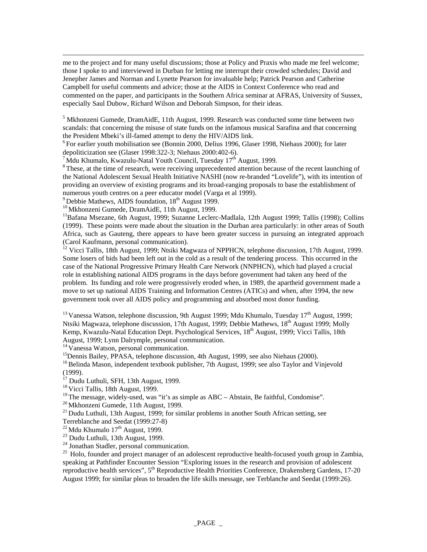me to the project and for many useful discussions; those at Policy and Praxis who made me feel welcome; those I spoke to and interviewed in Durban for letting me interrupt their crowded schedules; David and Jenepher James and Norman and Lynette Pearson for invaluable help; Patrick Pearson and Catherine Campbell for useful comments and advice; those at the AIDS in Context Conference who read and commented on the paper, and participants in the Southern Africa seminar at AFRAS, University of Sussex, especially Saul Dubow, Richard Wilson and Deborah Simpson, for their ideas.

 $<sup>5</sup>$  Mkhonzeni Gumede, DramAidE, 11th August, 1999. Research was conducted some time between two</sup> scandals: that concerning the misuse of state funds on the infamous musical Sarafina and that concerning the President Mbeki's ill-famed attempt to deny the HIV/AIDS link.

 ${}^{6}$  For earlier youth mobilisation see (Bonnin 2000, Delius 1996, Glaser 1998, Niehaus 2000); for later depoliticization see (Glaser 1998:322-3; Niehaus 2000:402-6).

 $\frac{7}{1}$ Mdu Khumalo, Kwazulu-Natal Youth Council, Tuesday  $17^{\text{th}}$  August, 1999.<br><sup>8</sup> These, at the time of research, were receiving unprecedented attention because of the recent launching of the National Adolescent Sexual Health Initiative NASHI (now re-branded "Lovelife"), with its intention of providing an overview of existing programs and its broad-ranging proposals to base the establishment of numerous youth centres on a peer educator model (Varga et al 1999).<br><sup>9</sup> Debbie Mathews, AIDS foundation,  $18<sup>th</sup>$  August 1999.

 $\overline{\phantom{a}}$ 

<sup>10</sup> Mkhonzeni Gumede, DramAidE, 11th August, 1999.<br><sup>11</sup> Bafana Msezane, 6th August, 1999; Suzanne Leclerc-Madlala, 12th August 1999; Tallis (1998); Collins (1999). These points were made about the situation in the Durban area particularly: in other areas of South Africa, such as Gauteng, there appears to have been greater success in pursuing an integrated approach (Carol Kaufmann, personal communication).

 $\frac{12}{12}$  Vicci Tallis, 18th August, 1999; Ntsiki Magwaza of NPPHCN, telephone discussion, 17th August, 1999. Some losers of bids had been left out in the cold as a result of the tendering process. This occurred in the case of the National Progressive Primary Health Care Network (NNPHCN), which had played a crucial role in establishing national AIDS programs in the days before government had taken any heed of the problem. Its funding and role were progressively eroded when, in 1989, the apartheid government made a move to set up national AIDS Training and Information Centres (ATICs) and when, after 1994, the new government took over all AIDS policy and programming and absorbed most donor funding.

<sup>13</sup> Vanessa Watson, telephone discussion, 9th August 1999; Mdu Khumalo, Tuesday 17<sup>th</sup> August, 1999; Ntsiki Magwaza, telephone discussion, 17th August, 1999; Debbie Mathews, 18th August 1999; Molly Kemp, Kwazulu-Natal Education Dept. Psychological Services, 18<sup>th</sup> August, 1999; Vicci Tallis, 18th August, 1999; Lynn Dalrymple, personal communication.

<sup>14</sup> Vanessa Watson, personal communication.

<sup>15</sup>Dennis Bailey, PPASA, telephone discussion, 4th August, 1999, see also Niehaus (2000).

<sup>16</sup> Belinda Mason, independent textbook publisher, 7th August, 1999; see also Taylor and Vinjevold (1999).

 $17$  Dudu Luthuli, SFH, 13th August, 1999.

<sup>18</sup> Vicci Tallis, 18th August, 1999.<br><sup>19</sup> The message, widely-used, was "it's as simple as ABC – Abstain, Be faithful, Condomise".

<sup>20</sup> Mkhonzeni Gumede, 11th August, 1999.<br><sup>21</sup> Dudu Luthuli, 13th August, 1999; for similar problems in another South African setting, see

Terreblanche and Seedat (1999:27-8)<br><sup>22</sup> Mdu Khumalo 17<sup>th</sup> August, 1999.

 $23$  Dudu Luthuli, 13th August, 1999.

24 Jonathan Stadler, personal communication.

<sup>25</sup> Holo, founder and project manager of an adolescent reproductive health-focused youth group in Zambia, speaking at Pathfinder Encounter Session "Exploring issues in the research and provision of adolescent reproductive health services", 5<sup>th</sup> Reproductive Health Priorities Conference, Drakensberg Gardens, 17-20 August 1999; for similar pleas to broaden the life skills message, see Terblanche and Seedat (1999:26).